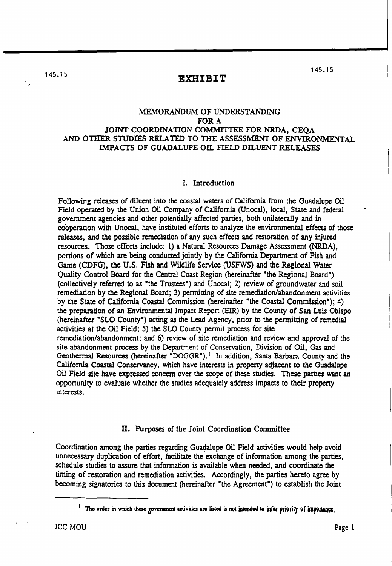## 145.15 **EXHIBIT**

### MEMORANDUM OF UNDERSTANDING FOR A JOINT COORDINATION COMMITTEE FOR NRDA, CEOA AND OTHER STUDIES RELATED TO THE ASSESSMENT OF ENVIRONMENTAL IMPACTS OF GUADALUPE OIL FIELD DILUENT RELEASES

#### I. Introduction

Following releases of diluent into the coastal waters of California from the Guadalupe Oil Field operated by the Union Oil Company of California (Unocal), local, State and federal government agencies and other potentially affected parties, both unilaterally and in cooperation with Unocal, have instituted efforts to analyze the environmental effects of those releases, and the possible remediation of any such effects and restoration of any injured resources. Those efforts include: 1) a Natural Resources Damage Assessment (NRDA), portions of which are being conducted jointly by the California Department of Fish and Game (CDFG), the U.S. FISh and Wildlife Service (USFWS) and the Regional Water Quality Control Board for the Central Coast Region (hereinafter "the Regional Board") (collectively referred to as "the Trustees") and Unocal; 2) review of groundwater and soil remediation by the Regional Board; 3) permitting of site remediation/abandonment activities by the State of California Coastal Commission (hereinafter "the Coastal Commission"); 4) the preparation of an Environmental Impact Report (EIR) by the County of San Luis Obispo (hereinafter "SLO County") acting as the Lead Agency, prior to the permitting of remedial activities at the Oil Field; 5) the SLO County pennit process for site remediation/abandonment; and 6) review of site remediation and review and approval of the site abandonment process by the Department of Conservation, Division of Oil, Gas and Geothermal Resources (hereinafter "DOGGR").<sup>1</sup> In addition, Santa Barbara County and the California Coastal Conservancy, which have interests in property adjacent to the Guadalupe Oil Field site have expressed concern over the scope of these studies. These parties want an opponunity to evaluate whether the studies adequately address impacts to their property interests.

#### ll. Purposes of the Joint Coordination Committee

Coordination among the parties regarding Guadalupe Oil Field activities would help avoid unnecessary duplication of effort, facilitate the exchange of information among the parties, schedule studies to assure that information is available when needed, and coordinate the timing of restoration and remediation activities. Accordingly, the parties hereto agree by becoming signatories to this document (hereinafter "the Agreement") to establish the Joint

<sup>&</sup>lt;sup>1</sup> The order in which these government activities are listed is not intended to infer priority of importance,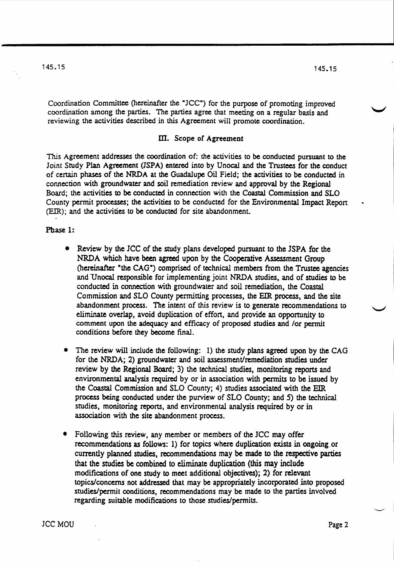Coordination Committee (hereinafter the *"ICC")* for the purpose of promoting improved coordination among the parties. The parties agree that meeting on a regular basis and reviewing the activities described in this Agreement will promote coordination.

#### m. Scope of Agreement

This Agreement addresses the coordination of: the activities to be conducted pursuant to the Joint Study Plan Agreement (JSPA) entered into by Unocal and the Trustees for the conduct of cenain phases of the NRDA at the Guadalupe Oil Field; the activities to be conducted in connection with groundwater and soil remediation review and approval by the Regional Board; the activities to be conducted in connection with the Coastal Commission and SLO County permit processes; the activities to be conducted for the Environmental Impact Report (EIR); and the activities to be conducted for site abandonment.

#### Phase 1:

- Review by the *ICC* of the study plans developed pursuant to the JSPA for the NRDA which have been agreed upon by the Cooperative Assessment Group (hereinafter "the CAG") comprised of technical members from the Trustee agencies and Unocal responsible for implementing joint NRDA studies, and of studies to be conducted in connection with groundwater and soil remediation, the Coastal Commission and 5LO County permitting processes, the EIR process, and the site abandonment process. The intent of this review is to generate recommendations to eliminate overlap, avoid duplication of effon, and provide an opportunity to comment upon the adequacy and efficacy of proposed studies and /or permit conditions before they become final.
- The review will include the following: 1) the study plans agreed upon by the CAG for the NRDA; 2) groundwater and soil assessment/remediation studies under review by the Regional Board; 3) the technical studies, monitoring reports and environmental analysis required by or in association with pennits to be issued by the Coastal Commission and SLO County; 4) studies associated with the EIR process being conducted under the purview of SLO County; and 5) the technical studies, monitoring reports, and environmental analysis required by or in association with the site abandonment process.
- Following this review, any member or members of the *ICC* may offer recommendations as follows: 1) for topics where duplication exists in ongoing. or currently planned studies, recommendations may be made to the respective parties that the studies be combined to eliminate duplication (this may include modifications of one study to meet additional objectives); 2) for relevant topics/concerns not addressed that may be appropriately incorporated .into proposed studies/permit conditions, recommendations may be made to the parties involved regarding suitable modifications to those studies/permits.

lack Moura and the second state of the second state  $\log 2$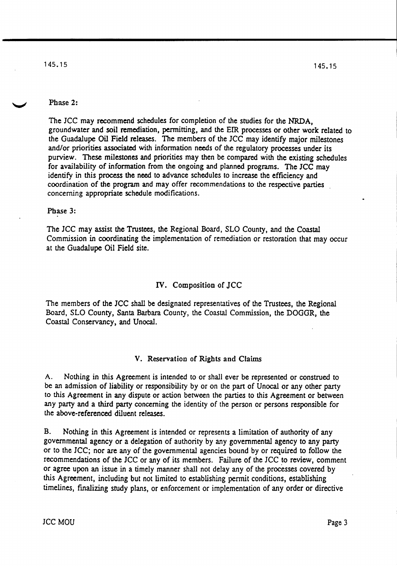#### Phase 2:

The JCC may recommend schedules for completion of the studies for the NRDA, groundwater and soil remediation, permitting, and the EIR processes or other work related to the Guadalupe Oil Field releases. The members of the JCC may identify major milestones and/or priorities associated with information needs of the regulatory processes under its purview. These milestones and priorities may then be compared with the existing schedules for availability of information from the ongoing and planned programs. The JCC may identify in this process the need to advance schedules to increase the efficiency and coordination of the program and may offer recommendations to the respective parties concerning appropriate schedule modifications.

#### Phase 3:

The *ICC* may assist the Trustees, the Regional Board, SLO County, and the Coastal Commission in coordinating the implementation of remediation or restoration that may occur at the Guadalupe Oil Field site.

#### IV. Composition of JCC

The members of the JCC shall be designated representatives of the Trustees, the Regional Board, SLO County, Santa Barbara County, the Coastal Commission, the DOGGR, the Coastal Conservancy, and Unocal.

#### V. Reservation of Rights and Claims

A. Nothing in this Agreement is intended to or shall ever be represented or construed to be an admission of liability or responsibility by or on the part of Unocal or any other party to this Agreement in any dispute or action between the parties to this Agreement or between any party and a third party concerning the identity of the person or persons responsible for the above-referenced diluent releases.

B. Nothing in this Agreement is intended or represents a limitation of authority of any governmental agency or a delegation of authority by any governmental agency to any party or to the *lCC;* nor are any of the governmental agencies bound by or required to follow the recommendations of the *lCC* or any of its members. Failure of the *ICC* to review, comment or agree upon an issue in a timely manner shall not delay any of the processes covered by this Agreement, including but not limited to establishing permit conditions, establishing timelines, finalizing study plans, or enforcement or implementation of any order or directive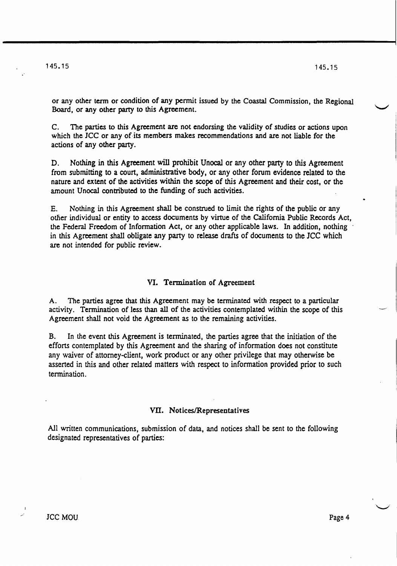.'

or any other term or condition of any permit issued by the Coastal Commission, the Regional Board, or any other party to this Agreement.

C. The parties to this Agreement are not endorsing the validity of studies or actions upon which the *ICC* or any of its members makes recommendations and are not liable for the actions of any other party.

D. Nothing in this Agreement will prohibit Unocal or any other party to this Agreement from submitting to a court, administrative body, or any other forum evidence related to the nature and extent of the activities within the scope of this Agreement and their cost, or the amount Unocal contributed to the funding of such activities.

E. Nothing in this Agreement shall be construed to limit the rights of the public or any other individual or entity to access documents by virtue of the California Public Records Act, the Federal Freedom of Infonnation Act, or any other applicable laws. In addition, nothing in this Agreement shall obligate any party to release drafts of documents to the *ICC* which are not intended for public review.

#### VI. Termination of Agreement

A. The parties agree that this Agreement may be terminated with respect to a particular activity. Termination of less than all of the activities contemplated within the scope of this Agreement shall not void the Agreement as to the remaining activities.

B. In the event this Agreement is terminated, the parties agree that the initiation of the efforts contemplated by this Agreement and the sharing of information does not constitute any waiver of attorney-client, work product or any other privilege that may otherwise be asserted in this and other related matters with respect to information provided prior to such termination.

#### VII. Notices/Representatives

All written communications, submission of data, and notices shall be sent to the following designated representatives of parties:

 $\mathbf{v} = \mathbf{v}$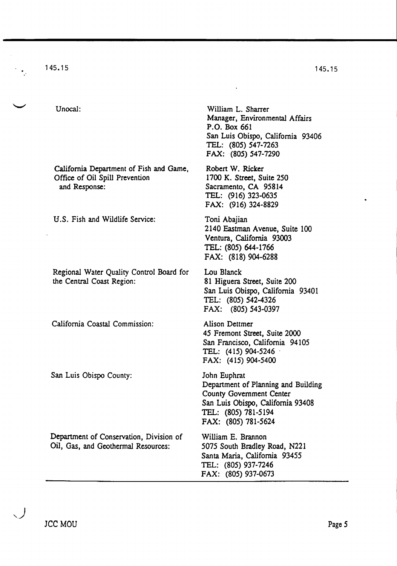1 45. 15

Unocal:

California Department of Fish and Game, Office of Oil Spill Prevention and Response:

U.S. Fish and Wildlife Service:

Regional Water Quality Control Board for the Central Coast Region:

California Coastal Commission:

San Luis Obispo County:

Department of Conservation, Division of Oil, Gas, and Geothermal Resources:

William L. Sharrer Manager, Environmental Affairs P.O. Box 661 San Luis Obispo, California 93406 TEL: (805) 547-7263 FAX: (805) 547-7290

Robert W. Ricker 1700 K. Street, Suite 250 Sacramento, CA 95814 TEL: (916) 323-0635 FAX: (916) 324-8829

Toni Abajian 2140 Eastman Avenue, Suite 100 Ventura, California 93003 TEL: (805) 644-1766 FAX: (818) 904-6288

Lou Blanck 81 Higuera Street, Suite 200 San Luis Obispo, California 93401 TEL: (805) 542-4326 FAX: (805) 543-0397

Alison Dettmer 45 Fremont Street, Suite 2000 San Francisco, California 94105 TEL: (415) 904-5246 . FAX: (415) 904-5400

John Euphrat Department of Planning and Building County Government Center San Luis Obispo, California 93408 TEL: (805) 781-5194 FAX: (80S) 781-5624

William E. Brannon 5075 South Bradley Road, N221 Santa Maria, California 93455 TEL: (805) 937-7246 FAX: (805) 937-0673

,)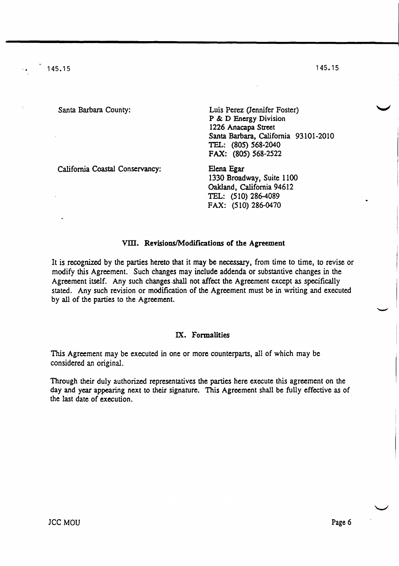| Santa Barbara County:           | Luis Perez (Jennifer Foster)<br>P & D Energy Division<br>1226 Anacapa Street<br>Santa Barbara, California 93101-2010<br>TEL: (805) 568-2040<br>FAX: (805) 568-2522 |  |
|---------------------------------|--------------------------------------------------------------------------------------------------------------------------------------------------------------------|--|
| California Coastal Conservancy: | Elena Egar<br>1330 Broadway, Suite 1100<br>Oakland, California 94612<br>TEL: (510) 286-4089<br>FAX: (510) 286-0470                                                 |  |

#### VIII. Revisions/Modifications of the Agreement

It is recognized by the parties hereto that it may be necessary, from time to time, to revise or modify this Agreement. Such changes may include addenda or substantive changes in the Agreement itself. Any such changes.shall not affect the Agreement except as specifically stated. Any such revision or modification of the Agreement must be in writing and executed by all of the parties to the Agreement.

#### IX. Formalities

This Agreement may be executed in one or more counterparts, all of which may be considered an original.

Through their duly authorized representatives the parties here execute this agreement on the day and year appearing next to their signature. This Agreement shall be fully effective as of the last date of execution.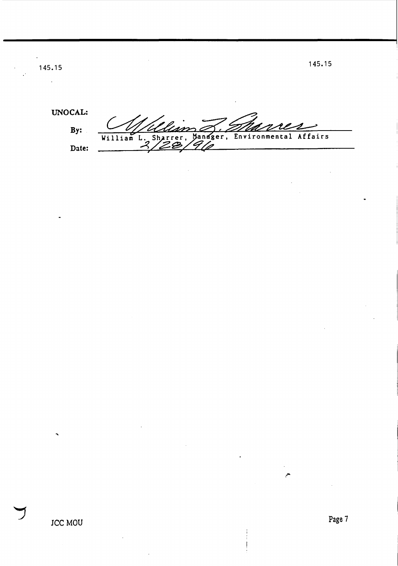$145.15$  145.15

 $\bar{\bar{}}$ 

UNO CAL: **By:**  William L. Sharrer, Manager, Environmental Affairs **Date:**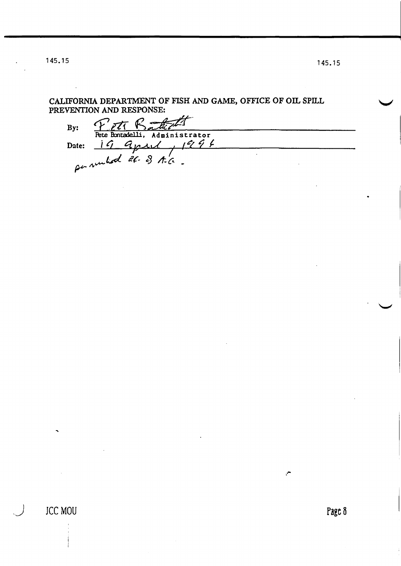145.15

CALIFORNIA DEPARTMENT OF FISH AND GAME, OFFICE OF OIL SPILL PREVENTION AND RESPONSE:

Peti Badiett By: Date: 19 april 1994  $\mathbb{R}^2$ 

145.15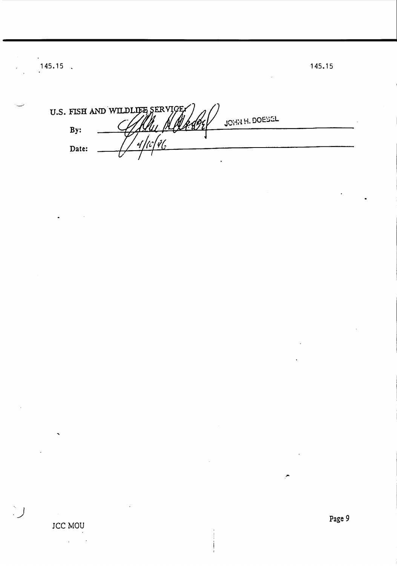U.S. FISH AND WILDLIEB SERVICE **JOHN H. DOESEL**  $By:$  $\dot{\mathcal{U}}_2'$ م)<br>أما  $\overline{r}$ Date: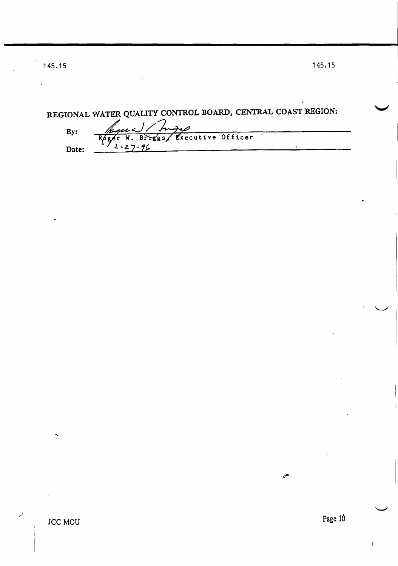# REGIONAL WATER QUALITY CONTROL BOARD, CENTRAL COAST REGION:

 $By:$ 

برر Executive Officer  $\sqrt{ss}$  $\overline{\mathbf{R}}$ Br  $2 - 27 -$ Date:

**SAMP**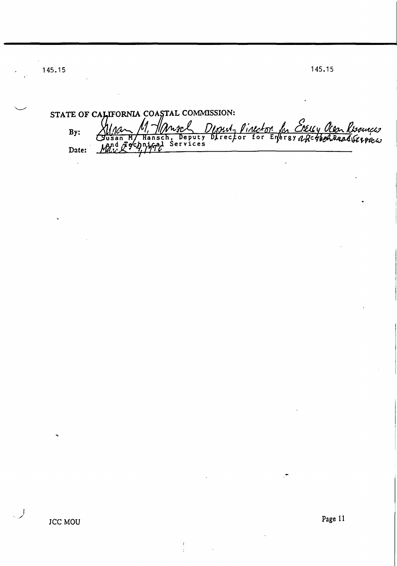.~

1 45. 15

**By: Date:**  STATE OF CALIFORNIA COASTAL COMMISSION: Mna M, Mnsch Dinul, Pineton for Exelly Olen Resources<br>Jusan M, Hansch, Deputy Director for Entersyn Region Deadlierpress

I *.j*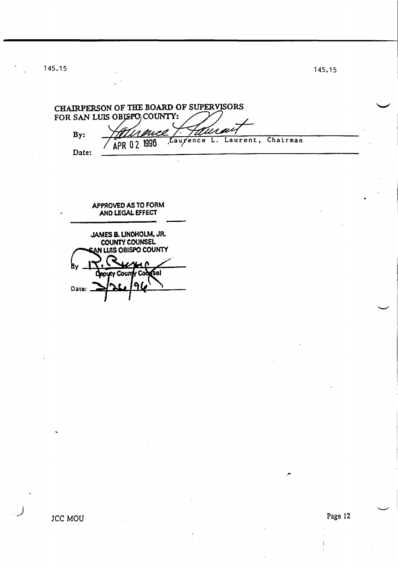1 45. 1 5

1 45. 15

CHAIRPERSON OF THE BOARD OF SUPERVISORS FOR SAN LUIS OBJSPO COUNTY: 'Usai auce By: Laurent, Chairman Lauxence  $\overline{\mathbf{L}}$ . APR 02 1996 Date:

 $\ddot{\phantom{0}}$ 

APPROVED AS TO FORM AND LEGAL EFFECT JAMES B. UNDHOLM, JR. N LUIS OBISPO COUNTY B٧ (Sel **Deputy Coun** Date: .

.-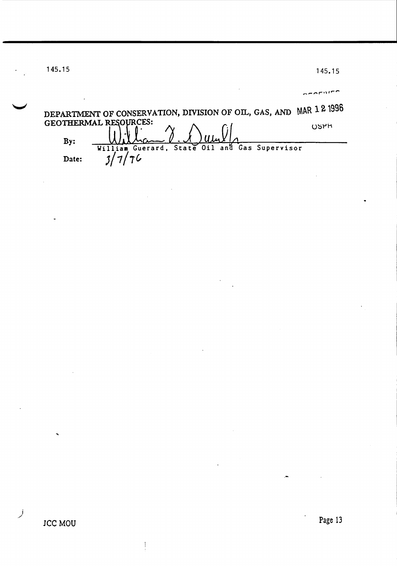145.15

 $\rightarrow$  or  $\sim$ 

|       | DEPARTMENT OF CONSERVATION, DIVISION OF OIL, GAS, AND MAR 12 1996 |                                     |  |     |
|-------|-------------------------------------------------------------------|-------------------------------------|--|-----|
|       | <b>GEOTHERMAL RESOURCES:</b>                                      | $\sqrt{1.1}$ lian $\sqrt{2.1}$ unll |  | 05H |
| By:   | William Guerard, State Oil and Gas Supervisor                     |                                     |  |     |
| Date: |                                                                   |                                     |  |     |

 $\,$   $\,$ 

j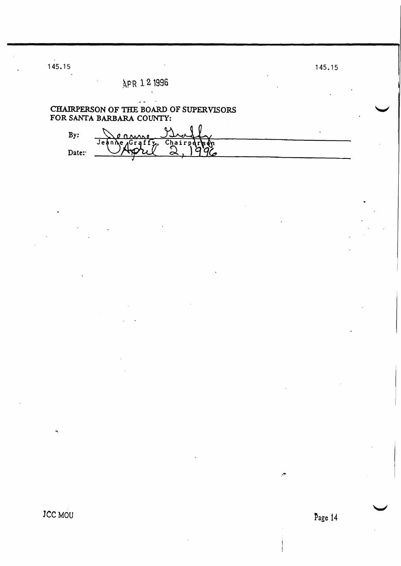# APR 1 2 1996

# CHAIRPERSON OF THE BOARD OF SUPERVISORS<br>FOR SANTA BARBARA COUNTY:  $\overline{a}$

| R٧    |                           |  |
|-------|---------------------------|--|
| Date: | Jeanne Graffy, Chairparts |  |
|       |                           |  |

JCC MOU